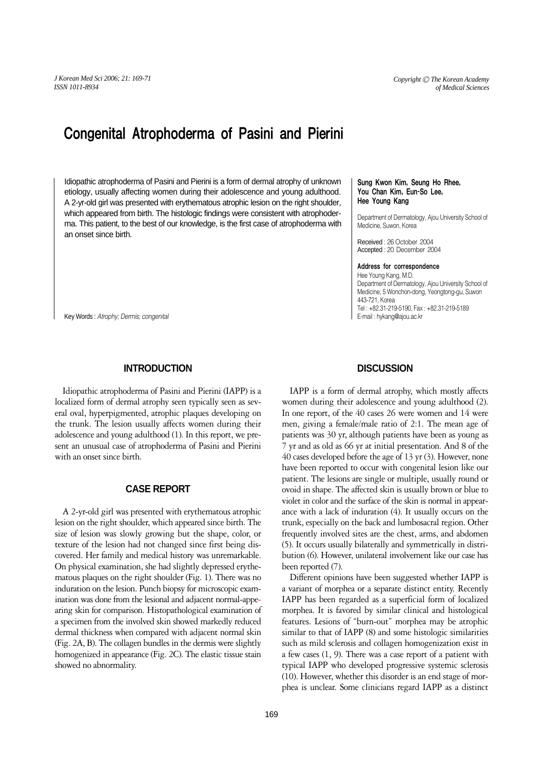# Congenital Atrophoderma of Pasini and Pierini

Idiopathic atrophoderma of Pasini and Pierini is a form of dermal atrophy of unknown etiology, usually affecting women during their adolescence and young adulthood. A 2-yr-old girl was presented with erythematous atrophic lesion on the right shoulder, which appeared from birth. The histologic findings were consistent with atrophoderma. This patient, to the best of our knowledge, is the first case of atrophoderma with an onset since birth.

Key Words : *Atrophy; Dermis; congenital*

## **INTRODUCTION**

Idiopathic atrophoderma of Pasini and Pierini (IAPP) is a localized form of dermal atrophy seen typically seen as several oval, hyperpigmented, atrophic plaques developing on the trunk. The lesion usually affects women during their adolescence and young adulthood (1). In this report, we present an unusual case of atrophoderma of Pasini and Pierini with an onset since birth.

## **CASE REPORT**

A 2-yr-old girl was presented with erythematous atrophic lesion on the right shoulder, which appeared since birth. The size of lesion was slowly growing but the shape, color, or texture of the lesion had not changed since first being discovered. Her family and medical history was unremarkable. On physical examination, she had slightly depressed erythematous plaques on the right shoulder (Fig. 1). There was no induration on the lesion. Punch biopsy for microscopic examination was done from the lesional and adjacent normal-appearing skin for comparison. Histopathological examination of a specimen from the involved skin showed markedly reduced dermal thickness when compared with adjacent normal skin (Fig. 2A, B). The collagen bundles in the dermis were slightly homogenized in appearance (Fig. 2C). The elastic tissue stain showed no abnormality.

#### Sung Kwon Kim, Seung Ho Rhee, You Chan Kim, Eun-So Lee, Hee Young Kang

Department of Dermatology, Ajou University School of Medicine, Suwon, Korea

Received : 26 October 2004 Accepted : 20 December 2004

#### Address for correspondence

Hee Young Kang, M.D. Department of Dermatology, Ajou University School of Medicine, 5 Wonchon-dong, Yeongtong-gu, Suwon 443-721, Korea Tel : +82.31-219-5190, Fax : +82.31-219-5189 E-mail : hykang@ajou.ac.kr

## **DISCUSSION**

IAPP is a form of dermal atrophy, which mostly affects women during their adolescence and young adulthood (2). In one report, of the 40 cases 26 were women and 14 were men, giving a female/male ratio of 2:1. The mean age of patients was 30 yr, although patients have been as young as 7 yr and as old as 66 yr at initial presentation. And 8 of the 40 cases developed before the age of 13 yr (3). However, none have been reported to occur with congenital lesion like our patient. The lesions are single or multiple, usually round or ovoid in shape. The affected skin is usually brown or blue to violet in color and the surface of the skin is normal in appearance with a lack of induration (4). It usually occurs on the trunk, especially on the back and lumbosacral region. Other frequently involved sites are the chest, arms, and abdomen (5). It occurs usually bilaterally and symmetrically in distribution (6). However, unilateral involvement like our case has been reported (7).

Different opinions have been suggested whether IAPP is a variant of morphea or a separate distinct entity. Recently IAPP has been regarded as a superficial form of localized morphea. It is favored by similar clinical and histological features. Lesions of ''burn-out'' morphea may be atrophic similar to that of IAPP (8) and some histologic similarities such as mild sclerosis and collagen homogenization exist in a few cases (1, 9). There was a case report of a patient with typical IAPP who developed progressive systemic sclerosis (10). However, whether this disorder is an end stage of morphea is unclear. Some clinicians regard IAPP as a distinct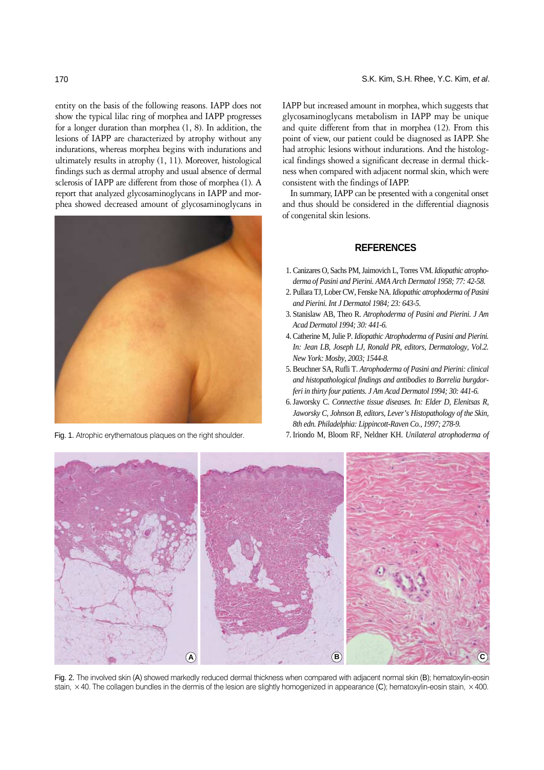entity on the basis of the following reasons. IAPP does not show the typical lilac ring of morphea and IAPP progresses for a longer duration than morphea (1, 8). In addition, the lesions of IAPP are characterized by atrophy without any indurations, whereas morphea begins with indurations and ultimately results in atrophy (1, 11). Moreover, histological findings such as dermal atrophy and usual absence of dermal sclerosis of IAPP are different from those of morphea (1). A report that analyzed glycosaminoglycans in IAPP and morphea showed decreased amount of glycosaminoglycans in



IAPP but increased amount in morphea, which suggests that glycosaminoglycans metabolism in IAPP may be unique and quite different from that in morphea (12). From this point of view, our patient could be diagnosed as IAPP. She had atrophic lesions without indurations. And the histological findings showed a significant decrease in dermal thickness when compared with adjacent normal skin, which were consistent with the findings of IAPP.

In summary, IAPP can be presented with a congenital onset and thus should be considered in the differential diagnosis of congenital skin lesions.

## **REFERENCES**

- 1. Canizares O, Sachs PM, Jaimovich L, Torres VM. *Idiopathic atrophoderma of Pasini and Pierini. AMA Arch Dermatol 1958; 77: 42-58.*
- 2. Pullara TJ, Lober CW, Fenske NA. *Idiopathic atrophoderma of Pasini and Pierini. Int J Dermatol 1984; 23: 643-5.*
- 3. Stanislaw AB, Theo R. *Atrophoderma of Pasini and Pierini. J Am Acad Dermatol 1994; 30: 441-6.*
- 4. Catherine M, Julie P. *Idiopathic Atrophoderma of Pasini and Pierini. In: Jean LB, Joseph LJ, Ronald PR, editors, Dermatology, Vol.2. New York: Mosby, 2003; 1544-8.*
- 5. Beuchner SA, Rufli T. *Atrophoderma of Pasini and Pierini: clinical and histopathological findings and antibodies to Borrelia burgdorferi in thirty four patients. J Am Acad Dermatol 1994; 30: 441-6.*
- 6. Jaworsky C. *Connective tissue diseases. In: Elder D, Elenitsas R, Jaworsky C, Johnson B, editors, Lever's Histopathology of the Skin, 8th edn. Philadelphia: Lippincott-Raven Co., 1997; 278-9.*
- Fig. 1. Atrophic erythematous plaques on the right shoulder. 7. Iriondo M, Bloom RF, Neldner KH. *Unilateral atrophoderma of*



Fig. 2. The involved skin (A) showed markedly reduced dermal thickness when compared with adjacent normal skin (B); hematoxylin-eosin stain,  $\times$  40. The collagen bundles in the dermis of the lesion are slightly homogenized in appearance (C); hematoxylin-eosin stain,  $\times$  400.